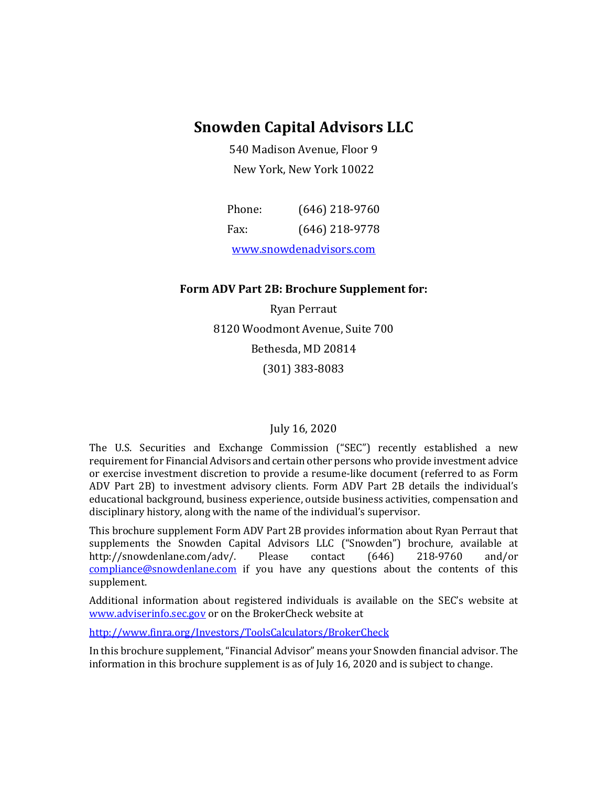## **Snowden Capital Advisors LLC**

540 Madison Avenue, Floor 9 New York, New York 10022

| Phone:                  | $(646)$ 218-9760 |
|-------------------------|------------------|
| Fax:                    | $(646)$ 218-9778 |
| www.snowdenadvisors.com |                  |

#### **Form ADV Part 2B: Brochure Supplement for:**

Ryan Perraut 8120 Woodmont Avenue, Suite 700 Bethesda, MD 20814 (301) 383-8083

#### July 16, 2020

The U.S. Securities and Exchange Commission ("SEC") recently established a new requirement for Financial Advisors and certain other persons who provide investment advice or exercise investment discretion to provide a resume-like document (referred to as Form ADV Part 2B) to investment advisory clients. Form ADV Part 2B details the individual's educational background, business experience, outside business activities, compensation and disciplinary history, along with the name of the individual's supervisor.

This brochure supplement Form ADV Part 2B provides information about Ryan Perraut that supplements the Snowden Capital Advisors LLC ("Snowden") brochure, available at <br>http://snowdenlane.com/adv/. Please contact (646) 218-9760 and/or http://snowdenlane.com/adv/. [compliance@snowdenlane.com](mailto:compliance@snowdenlane.com) if you have any questions about the contents of this supplement.

Additional information about registered individuals is available on the SEC's website at [www.adviserinfo.sec.gov](http://www.adviserinfo.sec.gov/) or on the BrokerCheck website at

<http://www.finra.org/Investors/ToolsCalculators/BrokerCheck>

In this brochure supplement, "Financial Advisor" means your Snowden financial advisor. The information in this brochure supplement is as of July 16, 2020 and is subject to change.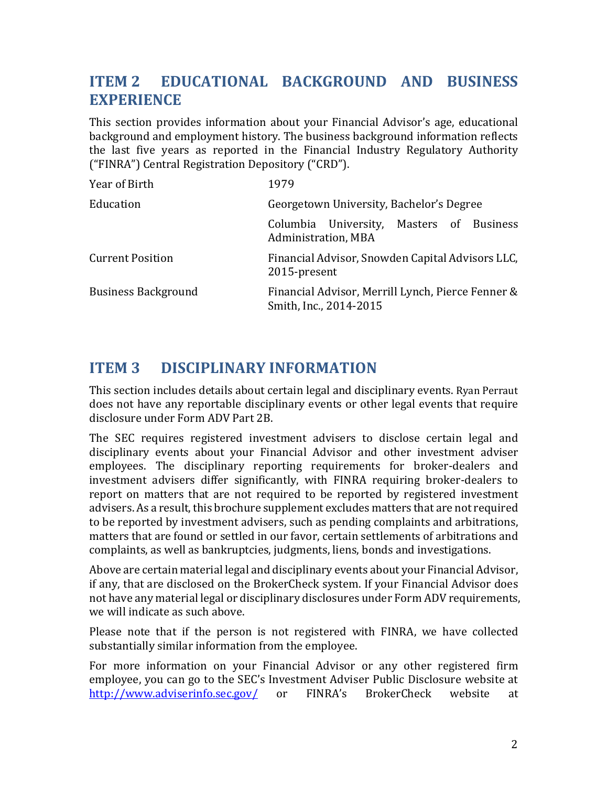# **ITEM 2 EDUCATIONAL BACKGROUND AND BUSINESS EXPERIENCE**

This section provides information about your Financial Advisor's age, educational background and employment history. The business background information reflects the last five years as reported in the Financial Industry Regulatory Authority ("FINRA") Central Registration Depository ("CRD").

| Year of Birth              | 1979                                                                        |
|----------------------------|-----------------------------------------------------------------------------|
| Education                  | Georgetown University, Bachelor's Degree                                    |
|                            | Columbia University, Masters of Business<br>Administration, MBA             |
| <b>Current Position</b>    | Financial Advisor, Snowden Capital Advisors LLC,<br>2015-present            |
| <b>Business Background</b> | Financial Advisor, Merrill Lynch, Pierce Fenner &<br>Smith, Inc., 2014-2015 |

#### **ITEM 3 DISCIPLINARY INFORMATION**

This section includes details about certain legal and disciplinary events. Ryan Perraut does not have any reportable disciplinary events or other legal events that require disclosure under Form ADV Part 2B.

The SEC requires registered investment advisers to disclose certain legal and disciplinary events about your Financial Advisor and other investment adviser employees. The disciplinary reporting requirements for broker-dealers and investment advisers differ significantly, with FINRA requiring broker-dealers to report on matters that are not required to be reported by registered investment advisers. As a result, this brochure supplement excludes matters that are not required to be reported by investment advisers, such as pending complaints and arbitrations, matters that are found or settled in our favor, certain settlements of arbitrations and complaints, as well as bankruptcies, judgments, liens, bonds and investigations.

Above are certain material legal and disciplinary events about your Financial Advisor, if any, that are disclosed on the BrokerCheck system. If your Financial Advisor does not have any material legal or disciplinary disclosures under Form ADV requirements, we will indicate as such above.

Please note that if the person is not registered with FINRA, we have collected substantially similar information from the employee.

For more information on your Financial Advisor or any other registered firm employee, you can go to the SEC's Investment Adviser Public Disclosure website at  $\frac{http://www.adviserinfo.sec.gov/}$  or FINRA's BrokerCheck website at <http://www.adviserinfo.sec.gov/>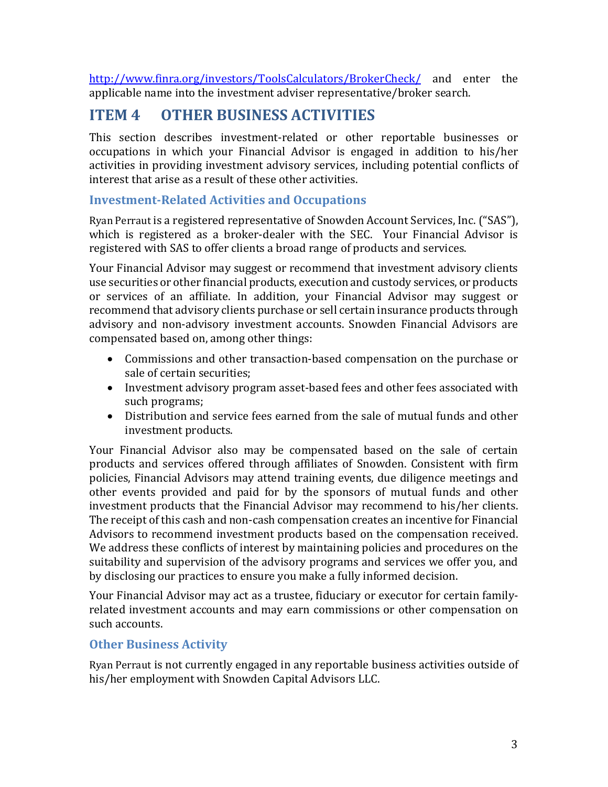<http://www.finra.org/investors/ToolsCalculators/BrokerCheck/> and enter the applicable name into the investment adviser representative/broker search.

# **ITEM 4 OTHER BUSINESS ACTIVITIES**

This section describes investment-related or other reportable businesses or occupations in which your Financial Advisor is engaged in addition to his/her activities in providing investment advisory services, including potential conflicts of interest that arise as a result of these other activities.

#### **Investment-Related Activities and Occupations**

Ryan Perraut is a registered representative of Snowden Account Services, Inc. ("SAS"), which is registered as a broker-dealer with the SEC. Your Financial Advisor is registered with SAS to offer clients a broad range of products and services.

Your Financial Advisor may suggest or recommend that investment advisory clients use securities or other financial products, execution and custody services, or products or services of an affiliate. In addition, your Financial Advisor may suggest or recommend that advisory clients purchase or sell certain insurance products through advisory and non-advisory investment accounts. Snowden Financial Advisors are compensated based on, among other things:

- Commissions and other transaction-based compensation on the purchase or sale of certain securities;
- Investment advisory program asset-based fees and other fees associated with such programs;
- Distribution and service fees earned from the sale of mutual funds and other investment products.

Your Financial Advisor also may be compensated based on the sale of certain products and services offered through affiliates of Snowden. Consistent with firm policies, Financial Advisors may attend training events, due diligence meetings and other events provided and paid for by the sponsors of mutual funds and other investment products that the Financial Advisor may recommend to his/her clients. The receipt of this cash and non-cash compensation creates an incentive for Financial Advisors to recommend investment products based on the compensation received. We address these conflicts of interest by maintaining policies and procedures on the suitability and supervision of the advisory programs and services we offer you, and by disclosing our practices to ensure you make a fully informed decision.

Your Financial Advisor may act as a trustee, fiduciary or executor for certain familyrelated investment accounts and may earn commissions or other compensation on such accounts.

#### **Other Business Activity**

Ryan Perraut is not currently engaged in any reportable business activities outside of his/her employment with Snowden Capital Advisors LLC.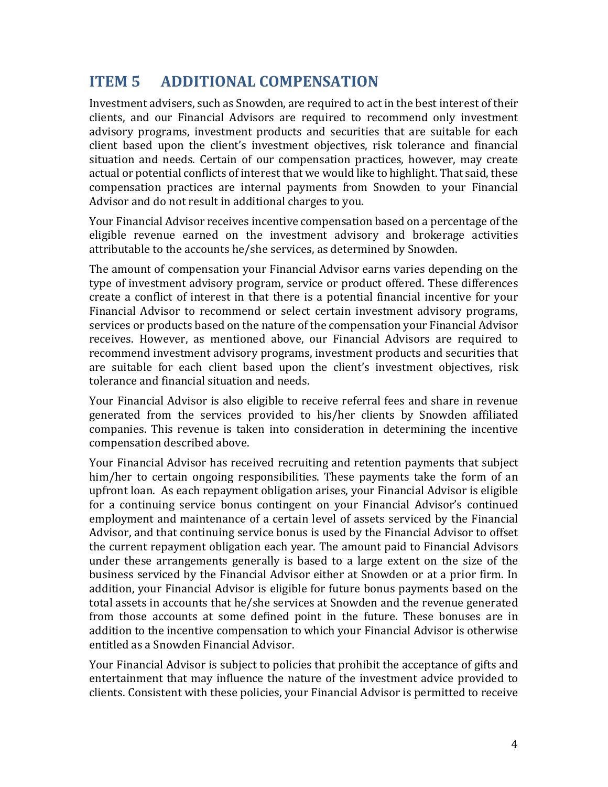### **ITEM 5 ADDITIONAL COMPENSATION**

Investment advisers, such as Snowden, are required to act in the best interest of their clients, and our Financial Advisors are required to recommend only investment advisory programs, investment products and securities that are suitable for each client based upon the client's investment objectives, risk tolerance and financial situation and needs. Certain of our compensation practices, however, may create actual or potential conflicts of interest that we would like to highlight. That said, these compensation practices are internal payments from Snowden to your Financial Advisor and do not result in additional charges to you.

Your Financial Advisor receives incentive compensation based on a percentage of the eligible revenue earned on the investment advisory and brokerage activities attributable to the accounts he/she services, as determined by Snowden.

The amount of compensation your Financial Advisor earns varies depending on the type of investment advisory program, service or product offered. These differences create a conflict of interest in that there is a potential financial incentive for your Financial Advisor to recommend or select certain investment advisory programs, services or products based on the nature of the compensation your Financial Advisor receives. However, as mentioned above, our Financial Advisors are required to recommend investment advisory programs, investment products and securities that are suitable for each client based upon the client's investment objectives, risk tolerance and financial situation and needs.

Your Financial Advisor is also eligible to receive referral fees and share in revenue generated from the services provided to his/her clients by Snowden affiliated companies. This revenue is taken into consideration in determining the incentive compensation described above.

Your Financial Advisor has received recruiting and retention payments that subject him/her to certain ongoing responsibilities. These payments take the form of an upfront loan. As each repayment obligation arises, your Financial Advisor is eligible for a continuing service bonus contingent on your Financial Advisor's continued employment and maintenance of a certain level of assets serviced by the Financial Advisor, and that continuing service bonus is used by the Financial Advisor to offset the current repayment obligation each year. The amount paid to Financial Advisors under these arrangements generally is based to a large extent on the size of the business serviced by the Financial Advisor either at Snowden or at a prior firm. In addition, your Financial Advisor is eligible for future bonus payments based on the total assets in accounts that he/she services at Snowden and the revenue generated from those accounts at some defined point in the future. These bonuses are in addition to the incentive compensation to which your Financial Advisor is otherwise entitled as a Snowden Financial Advisor.

Your Financial Advisor is subject to policies that prohibit the acceptance of gifts and entertainment that may influence the nature of the investment advice provided to clients. Consistent with these policies, your Financial Advisor is permitted to receive